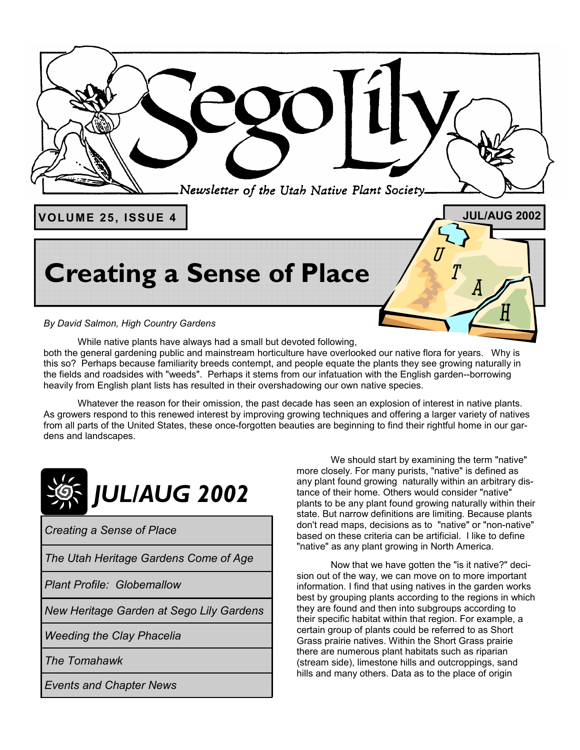

# **Creating a Sense of Place**

*By David Salmon, High Country Gardens* 

 While native plants have always had a small but devoted following, both the general gardening public and mainstream horticulture have overlooked our native flora for years. Why is this so? Perhaps because familiarity breeds contempt, and people equate the plants they see growing naturally in the fields and roadsides with "weeds". Perhaps it stems from our infatuation with the English garden--borrowing heavily from English plant lists has resulted in their overshadowing our own native species.

 Whatever the reason for their omission, the past decade has seen an explosion of interest in native plants. As growers respond to this renewed interest by improving growing techniques and offering a larger variety of natives from all parts of the United States, these once-forgotten beauties are beginning to find their rightful home in our gardens and landscapes.



*Creating a Sense of Place* 

*The Utah Heritage Gardens Come of Age* 

*Plant Profile: Globemallow* 

*New Heritage Garden at Sego Lily Gardens* 

*Weeding the Clay Phacelia* 

*The Tomahawk* 

*Events and Chapter News* 

 We should start by examining the term "native" more closely. For many purists, "native" is defined as any plant found growing naturally within an arbitrary distance of their home. Others would consider "native" plants to be any plant found growing naturally within their state. But narrow definitions are limiting. Because plants don't read maps, decisions as to "native" or "non-native" based on these criteria can be artificial. I like to define "native" as any plant growing in North America.

 Now that we have gotten the "is it native?" decision out of the way, we can move on to more important information. I find that using natives in the garden works best by grouping plants according to the regions in which they are found and then into subgroups according to their specific habitat within that region. For example, a certain group of plants could be referred to as Short Grass prairie natives. Within the Short Grass prairie there are numerous plant habitats such as riparian (stream side), limestone hills and outcroppings, sand hills and many others. Data as to the place of origin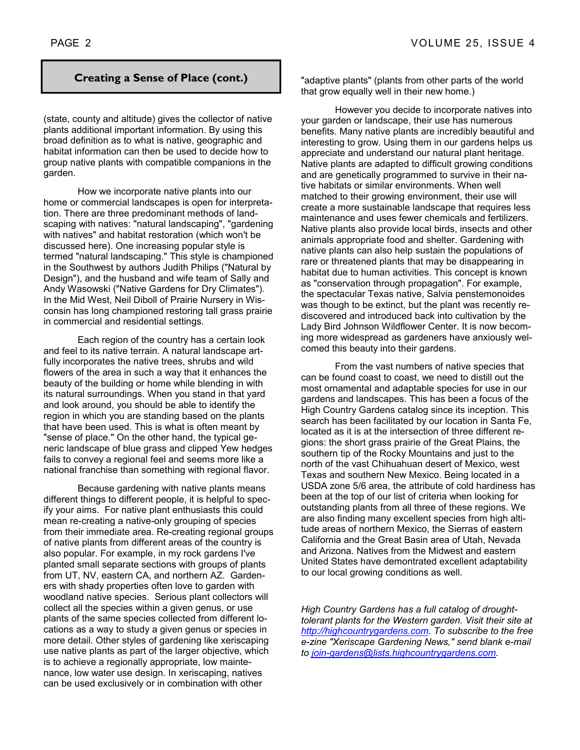(state, county and altitude) gives the collector of native plants additional important information. By using this broad definition as to what is native, geographic and habitat information can then be used to decide how to group native plants with compatible companions in the garden.

 How we incorporate native plants into our home or commercial landscapes is open for interpretation. There are three predominant methods of landscaping with natives: "natural landscaping", "gardening with natives" and habitat restoration (which won't be discussed here). One increasing popular style is termed "natural landscaping." This style is championed in the Southwest by authors Judith Philips ("Natural by Design"), and the husband and wife team of Sally and Andy Wasowski ("Native Gardens for Dry Climates"). In the Mid West, Neil Diboll of Prairie Nursery in Wisconsin has long championed restoring tall grass prairie in commercial and residential settings.

 Each region of the country has a certain look and feel to its native terrain. A natural landscape artfully incorporates the native trees, shrubs and wild flowers of the area in such a way that it enhances the beauty of the building or home while blending in with its natural surroundings. When you stand in that yard and look around, you should be able to identify the region in which you are standing based on the plants that have been used. This is what is often meant by "sense of place." On the other hand, the typical generic landscape of blue grass and clipped Yew hedges fails to convey a regional feel and seems more like a national franchise than something with regional flavor.

 Because gardening with native plants means different things to different people, it is helpful to specify your aims. For native plant enthusiasts this could mean re-creating a native-only grouping of species from their immediate area. Re-creating regional groups of native plants from different areas of the country is also popular. For example, in my rock gardens I've planted small separate sections with groups of plants from UT, NV, eastern CA, and northern AZ. Gardeners with shady properties often love to garden with woodland native species. Serious plant collectors will collect all the species within a given genus, or use plants of the same species collected from different locations as a way to study a given genus or species in more detail. Other styles of gardening like xeriscaping use native plants as part of the larger objective, which is to achieve a regionally appropriate, low maintenance, low water use design. In xeriscaping, natives can be used exclusively or in combination with other

**Creating a Sense of Place (cont.)** | "adaptive plants" (plants from other parts of the world that grow equally well in their new home.)

> However you decide to incorporate natives into your garden or landscape, their use has numerous benefits. Many native plants are incredibly beautiful and interesting to grow. Using them in our gardens helps us appreciate and understand our natural plant heritage. Native plants are adapted to difficult growing conditions and are genetically programmed to survive in their native habitats or similar environments. When well matched to their growing environment, their use will create a more sustainable landscape that requires less maintenance and uses fewer chemicals and fertilizers. Native plants also provide local birds, insects and other animals appropriate food and shelter. Gardening with native plants can also help sustain the populations of rare or threatened plants that may be disappearing in habitat due to human activities. This concept is known as "conservation through propagation". For example, the spectacular Texas native, Salvia penstemonoides was though to be extinct, but the plant was recently rediscovered and introduced back into cultivation by the Lady Bird Johnson Wildflower Center. It is now becoming more widespread as gardeners have anxiously welcomed this beauty into their gardens.

> From the vast numbers of native species that can be found coast to coast, we need to distill out the most ornamental and adaptable species for use in our gardens and landscapes. This has been a focus of the High Country Gardens catalog since its inception. This search has been facilitated by our location in Santa Fe, located as it is at the intersection of three different regions: the short grass prairie of the Great Plains, the southern tip of the Rocky Mountains and just to the north of the vast Chihuahuan desert of Mexico, west Texas and southern New Mexico. Being located in a USDA zone 5/6 area, the attribute of cold hardiness has been at the top of our list of criteria when looking for outstanding plants from all three of these regions. We are also finding many excellent species from high altitude areas of northern Mexico, the Sierras of eastern California and the Great Basin area of Utah, Nevada and Arizona. Natives from the Midwest and eastern United States have demontrated excellent adaptability to our local growing conditions as well.

> *High Country Gardens has a full catalog of droughttolerant plants for the Western garden. Visit their site at http://highcountrygardens.com. To subscribe to the free e-zine "Xeriscape Gardening News," send blank e-mail to join-gardens@lists.highcountrygardens.com.*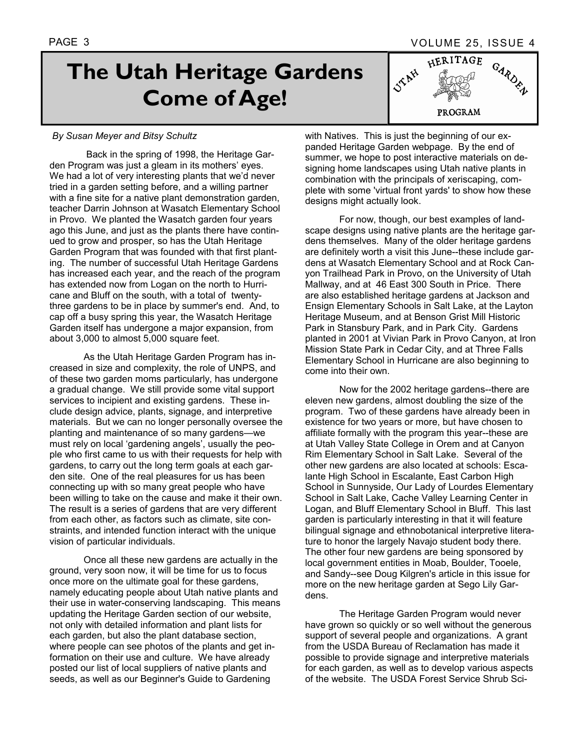HERITAGE

**PROGRAM** 

GARDED

# **The Utah Heritage Gardens Come of Age!**

### *By Susan Meyer and Bitsy Schultz*

 Back in the spring of 1998, the Heritage Garden Program was just a gleam in its mothers' eyes. We had a lot of very interesting plants that we'd never tried in a garden setting before, and a willing partner with a fine site for a native plant demonstration garden, teacher Darrin Johnson at Wasatch Elementary School in Provo. We planted the Wasatch garden four years ago this June, and just as the plants there have continued to grow and prosper, so has the Utah Heritage Garden Program that was founded with that first planting. The number of successful Utah Heritage Gardens has increased each year, and the reach of the program has extended now from Logan on the north to Hurricane and Bluff on the south, with a total of twentythree gardens to be in place by summer's end. And, to cap off a busy spring this year, the Wasatch Heritage Garden itself has undergone a major expansion, from about 3,000 to almost 5,000 square feet.

As the Utah Heritage Garden Program has increased in size and complexity, the role of UNPS, and of these two garden moms particularly, has undergone a gradual change. We still provide some vital support services to incipient and existing gardens. These include design advice, plants, signage, and interpretive materials. But we can no longer personally oversee the planting and maintenance of so many gardens—we must rely on local 'gardening angels', usually the people who first came to us with their requests for help with gardens, to carry out the long term goals at each garden site. One of the real pleasures for us has been connecting up with so many great people who have been willing to take on the cause and make it their own. The result is a series of gardens that are very different from each other, as factors such as climate, site constraints, and intended function interact with the unique vision of particular individuals.

Once all these new gardens are actually in the ground, very soon now, it will be time for us to focus once more on the ultimate goal for these gardens, namely educating people about Utah native plants and their use in water-conserving landscaping. This means updating the Heritage Garden section of our website, not only with detailed information and plant lists for each garden, but also the plant database section, where people can see photos of the plants and get information on their use and culture. We have already posted our list of local suppliers of native plants and seeds, as well as our Beginner's Guide to Gardening

with Natives. This is just the beginning of our expanded Heritage Garden webpage. By the end of summer, we hope to post interactive materials on designing home landscapes using Utah native plants in combination with the principals of xeriscaping, complete with some 'virtual front yards' to show how these designs might actually look.

**STAN** 

For now, though, our best examples of landscape designs using native plants are the heritage gardens themselves. Many of the older heritage gardens are definitely worth a visit this June--these include gardens at Wasatch Elementary School and at Rock Canyon Trailhead Park in Provo, on the University of Utah Mallway, and at 46 East 300 South in Price. There are also established heritage gardens at Jackson and Ensign Elementary Schools in Salt Lake, at the Layton Heritage Museum, and at Benson Grist Mill Historic Park in Stansbury Park, and in Park City. Gardens planted in 2001 at Vivian Park in Provo Canyon, at Iron Mission State Park in Cedar City, and at Three Falls Elementary School in Hurricane are also beginning to come into their own.

Now for the 2002 heritage gardens--there are eleven new gardens, almost doubling the size of the program. Two of these gardens have already been in existence for two years or more, but have chosen to affiliate formally with the program this year--these are at Utah Valley State College in Orem and at Canyon Rim Elementary School in Salt Lake. Several of the other new gardens are also located at schools: Escalante High School in Escalante, East Carbon High School in Sunnyside, Our Lady of Lourdes Elementary School in Salt Lake, Cache Valley Learning Center in Logan, and Bluff Elementary School in Bluff. This last garden is particularly interesting in that it will feature bilingual signage and ethnobotanical interpretive literature to honor the largely Navajo student body there. The other four new gardens are being sponsored by local government entities in Moab, Boulder, Tooele, and Sandy--see Doug Kilgren's article in this issue for more on the new heritage garden at Sego Lily Gardens.

The Heritage Garden Program would never have grown so quickly or so well without the generous support of several people and organizations. A grant from the USDA Bureau of Reclamation has made it possible to provide signage and interpretive materials for each garden, as well as to develop various aspects of the website. The USDA Forest Service Shrub Sci-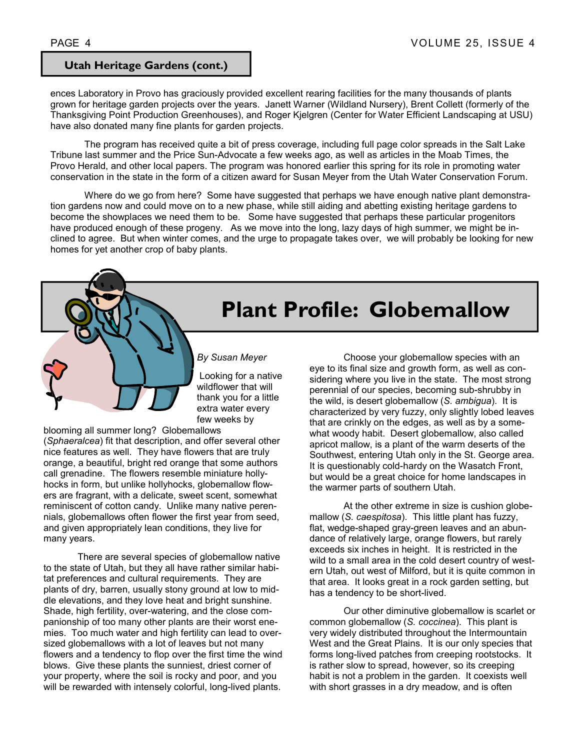### **Utah Heritage Gardens (cont.)**

ences Laboratory in Provo has graciously provided excellent rearing facilities for the many thousands of plants grown for heritage garden projects over the years. Janett Warner (Wildland Nursery), Brent Collett (formerly of the Thanksgiving Point Production Greenhouses), and Roger Kjelgren (Center for Water Efficient Landscaping at USU) have also donated many fine plants for garden projects.

The program has received quite a bit of press coverage, including full page color spreads in the Salt Lake Tribune last summer and the Price Sun-Advocate a few weeks ago, as well as articles in the Moab Times, the Provo Herald, and other local papers. The program was honored earlier this spring for its role in promoting water conservation in the state in the form of a citizen award for Susan Meyer from the Utah Water Conservation Forum.

Where do we go from here? Some have suggested that perhaps we have enough native plant demonstration gardens now and could move on to a new phase, while still aiding and abetting existing heritage gardens to become the showplaces we need them to be. Some have suggested that perhaps these particular progenitors have produced enough of these progeny. As we move into the long, lazy days of high summer, we might be inclined to agree. But when winter comes, and the urge to propagate takes over, we will probably be looking for new homes for yet another crop of baby plants.

# **Plant Profile: Globemallow**

*By Susan Meyer* 

 Looking for a native wildflower that will thank you for a little extra water every few weeks by

blooming all summer long? Globemallows (*Sphaeralcea*) fit that description, and offer several other nice features as well. They have flowers that are truly orange, a beautiful, bright red orange that some authors call grenadine. The flowers resemble miniature hollyhocks in form, but unlike hollyhocks, globemallow flowers are fragrant, with a delicate, sweet scent, somewhat reminiscent of cotton candy. Unlike many native perennials, globemallows often flower the first year from seed, and given appropriately lean conditions, they live for many years.

There are several species of globemallow native to the state of Utah, but they all have rather similar habitat preferences and cultural requirements. They are plants of dry, barren, usually stony ground at low to middle elevations, and they love heat and bright sunshine. Shade, high fertility, over-watering, and the close companionship of too many other plants are their worst enemies. Too much water and high fertility can lead to oversized globemallows with a lot of leaves but not many flowers and a tendency to flop over the first time the wind blows. Give these plants the sunniest, driest corner of your property, where the soil is rocky and poor, and you will be rewarded with intensely colorful, long-lived plants.

Choose your globemallow species with an eye to its final size and growth form, as well as considering where you live in the state. The most strong perennial of our species, becoming sub-shrubby in the wild, is desert globemallow (*S. ambigua*). It is characterized by very fuzzy, only slightly lobed leaves that are crinkly on the edges, as well as by a somewhat woody habit. Desert globemallow, also called apricot mallow, is a plant of the warm deserts of the Southwest, entering Utah only in the St. George area. It is questionably cold-hardy on the Wasatch Front, but would be a great choice for home landscapes in the warmer parts of southern Utah.

At the other extreme in size is cushion globemallow (*S. caespitosa*). This little plant has fuzzy, flat, wedge-shaped gray-green leaves and an abundance of relatively large, orange flowers, but rarely exceeds six inches in height. It is restricted in the wild to a small area in the cold desert country of western Utah, out west of Milford, but it is quite common in that area. It looks great in a rock garden setting, but has a tendency to be short-lived.

Our other diminutive globemallow is scarlet or common globemallow (*S. coccinea*). This plant is very widely distributed throughout the Intermountain West and the Great Plains. It is our only species that forms long-lived patches from creeping rootstocks. It is rather slow to spread, however, so its creeping habit is not a problem in the garden. It coexists well with short grasses in a dry meadow, and is often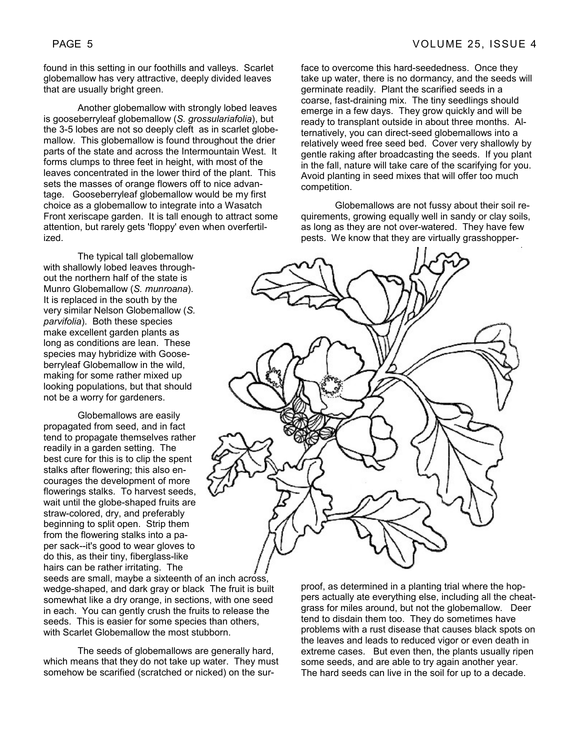found in this setting in our foothills and valleys. Scarlet globemallow has very attractive, deeply divided leaves that are usually bright green.

Another globemallow with strongly lobed leaves is gooseberryleaf globemallow (*S. grossulariafolia*), but the 3-5 lobes are not so deeply cleft as in scarlet globemallow. This globemallow is found throughout the drier parts of the state and across the Intermountain West. It forms clumps to three feet in height, with most of the leaves concentrated in the lower third of the plant. This sets the masses of orange flowers off to nice advantage. Gooseberryleaf globemallow would be my first choice as a globemallow to integrate into a Wasatch Front xeriscape garden. It is tall enough to attract some attention, but rarely gets 'floppy' even when overfertilized.

The typical tall globemallow with shallowly lobed leaves throughout the northern half of the state is Munro Globemallow (*S. munroana*). It is replaced in the south by the very similar Nelson Globemallow (*S. parvifolia*). Both these species make excellent garden plants as long as conditions are lean. These species may hybridize with Gooseberryleaf Globemallow in the wild, making for some rather mixed up looking populations, but that should not be a worry for gardeners.

Globemallows are easily propagated from seed, and in fact tend to propagate themselves rather readily in a garden setting. The best cure for this is to clip the spent stalks after flowering; this also encourages the development of more flowerings stalks. To harvest seeds, wait until the globe-shaped fruits are straw-colored, dry, and preferably beginning to split open. Strip them from the flowering stalks into a paper sack--it's good to wear gloves to do this, as their tiny, fiberglass-like hairs can be rather irritating. The

seeds are small, maybe a sixteenth of an inch across, wedge-shaped, and dark gray or black The fruit is built somewhat like a dry orange, in sections, with one seed in each. You can gently crush the fruits to release the seeds. This is easier for some species than others, with Scarlet Globemallow the most stubborn.

The seeds of globemallows are generally hard, which means that they do not take up water. They must somehow be scarified (scratched or nicked) on the surface to overcome this hard-seededness. Once they take up water, there is no dormancy, and the seeds will germinate readily. Plant the scarified seeds in a coarse, fast-draining mix. The tiny seedlings should emerge in a few days. They grow quickly and will be ready to transplant outside in about three months. Alternatively, you can direct-seed globemallows into a relatively weed free seed bed. Cover very shallowly by gentle raking after broadcasting the seeds. If you plant in the fall, nature will take care of the scarifying for you. Avoid planting in seed mixes that will offer too much competition.

Globemallows are not fussy about their soil requirements, growing equally well in sandy or clay soils, as long as they are not over-watered. They have few pests. We know that they are virtually grasshopper-



proof, as determined in a planting trial where the hoppers actually ate everything else, including all the cheatgrass for miles around, but not the globemallow. Deer tend to disdain them too. They do sometimes have problems with a rust disease that causes black spots on the leaves and leads to reduced vigor or even death in extreme cases. But even then, the plants usually ripen some seeds, and are able to try again another year. The hard seeds can live in the soil for up to a decade.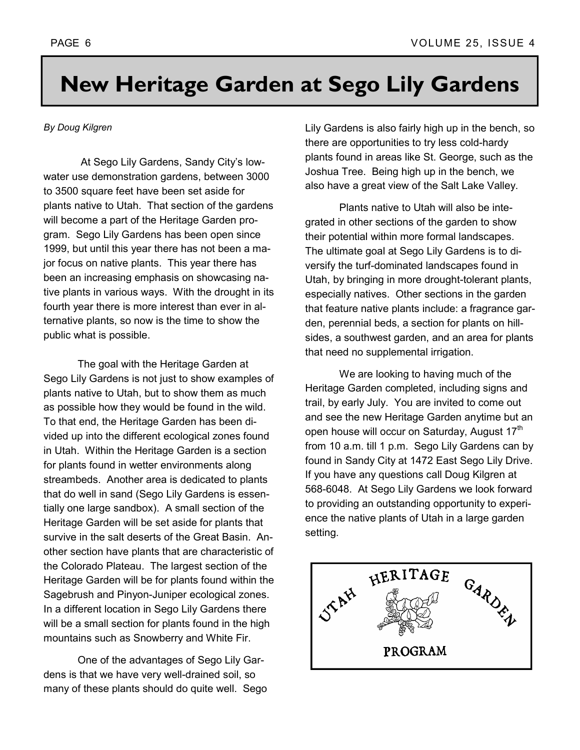# **New Heritage Garden at Sego Lily Gardens**

### *By Doug Kilgren*

At Sego Lily Gardens, Sandy City's lowwater use demonstration gardens, between 3000 to 3500 square feet have been set aside for plants native to Utah. That section of the gardens will become a part of the Heritage Garden program. Sego Lily Gardens has been open since 1999, but until this year there has not been a major focus on native plants. This year there has been an increasing emphasis on showcasing native plants in various ways. With the drought in its fourth year there is more interest than ever in alternative plants, so now is the time to show the public what is possible.

The goal with the Heritage Garden at Sego Lily Gardens is not just to show examples of plants native to Utah, but to show them as much as possible how they would be found in the wild. To that end, the Heritage Garden has been divided up into the different ecological zones found in Utah. Within the Heritage Garden is a section for plants found in wetter environments along streambeds. Another area is dedicated to plants that do well in sand (Sego Lily Gardens is essentially one large sandbox). A small section of the Heritage Garden will be set aside for plants that survive in the salt deserts of the Great Basin. Another section have plants that are characteristic of the Colorado Plateau. The largest section of the Heritage Garden will be for plants found within the Sagebrush and Pinyon-Juniper ecological zones. In a different location in Sego Lily Gardens there will be a small section for plants found in the high mountains such as Snowberry and White Fir.

One of the advantages of Sego Lily Gardens is that we have very well-drained soil, so many of these plants should do quite well. Sego Lily Gardens is also fairly high up in the bench, so there are opportunities to try less cold-hardy plants found in areas like St. George, such as the Joshua Tree. Being high up in the bench, we also have a great view of the Salt Lake Valley.

Plants native to Utah will also be integrated in other sections of the garden to show their potential within more formal landscapes. The ultimate goal at Sego Lily Gardens is to diversify the turf-dominated landscapes found in Utah, by bringing in more drought-tolerant plants, especially natives. Other sections in the garden that feature native plants include: a fragrance garden, perennial beds, a section for plants on hillsides, a southwest garden, and an area for plants that need no supplemental irrigation.

We are looking to having much of the Heritage Garden completed, including signs and trail, by early July. You are invited to come out and see the new Heritage Garden anytime but an open house will occur on Saturday, August 17<sup>th</sup> from 10 a.m. till 1 p.m. Sego Lily Gardens can by found in Sandy City at 1472 East Sego Lily Drive. If you have any questions call Doug Kilgren at 568-6048. At Sego Lily Gardens we look forward to providing an outstanding opportunity to experience the native plants of Utah in a large garden setting.

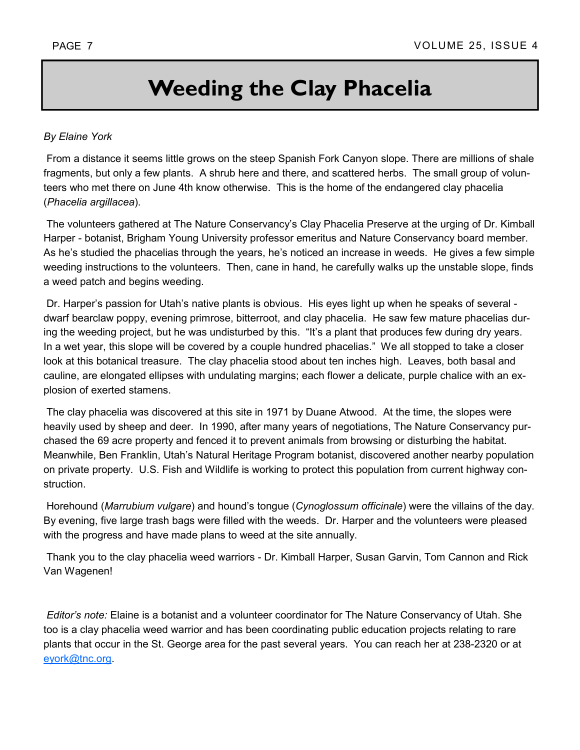# **Weeding the Clay Phacelia**

### *By Elaine York*

 From a distance it seems little grows on the steep Spanish Fork Canyon slope. There are millions of shale fragments, but only a few plants. A shrub here and there, and scattered herbs. The small group of volunteers who met there on June 4th know otherwise. This is the home of the endangered clay phacelia (*Phacelia argillacea*).

 The volunteers gathered at The Nature Conservancyís Clay Phacelia Preserve at the urging of Dr. Kimball Harper - botanist, Brigham Young University professor emeritus and Nature Conservancy board member. As he's studied the phacelias through the years, he's noticed an increase in weeds. He gives a few simple weeding instructions to the volunteers. Then, cane in hand, he carefully walks up the unstable slope, finds a weed patch and begins weeding.

Dr. Harper's passion for Utah's native plants is obvious. His eyes light up when he speaks of several dwarf bearclaw poppy, evening primrose, bitterroot, and clay phacelia. He saw few mature phacelias during the weeding project, but he was undisturbed by this. "It's a plant that produces few during dry years. In a wet year, this slope will be covered by a couple hundred phacelias." We all stopped to take a closer look at this botanical treasure. The clay phacelia stood about ten inches high. Leaves, both basal and cauline, are elongated ellipses with undulating margins; each flower a delicate, purple chalice with an explosion of exerted stamens.

 The clay phacelia was discovered at this site in 1971 by Duane Atwood. At the time, the slopes were heavily used by sheep and deer. In 1990, after many years of negotiations, The Nature Conservancy purchased the 69 acre property and fenced it to prevent animals from browsing or disturbing the habitat. Meanwhile, Ben Franklin, Utahís Natural Heritage Program botanist, discovered another nearby population on private property. U.S. Fish and Wildlife is working to protect this population from current highway construction.

 Horehound (*Marrubium vulgare*) and houndís tongue (*Cynoglossum officinale*) were the villains of the day. By evening, five large trash bags were filled with the weeds. Dr. Harper and the volunteers were pleased with the progress and have made plans to weed at the site annually.

 Thank you to the clay phacelia weed warriors - Dr. Kimball Harper, Susan Garvin, Tom Cannon and Rick Van Wagenen!

*Editorís note:* Elaine is a botanist and a volunteer coordinator for The Nature Conservancy of Utah. She too is a clay phacelia weed warrior and has been coordinating public education projects relating to rare plants that occur in the St. George area for the past several years. You can reach her at 238-2320 or at eyork@tnc.org.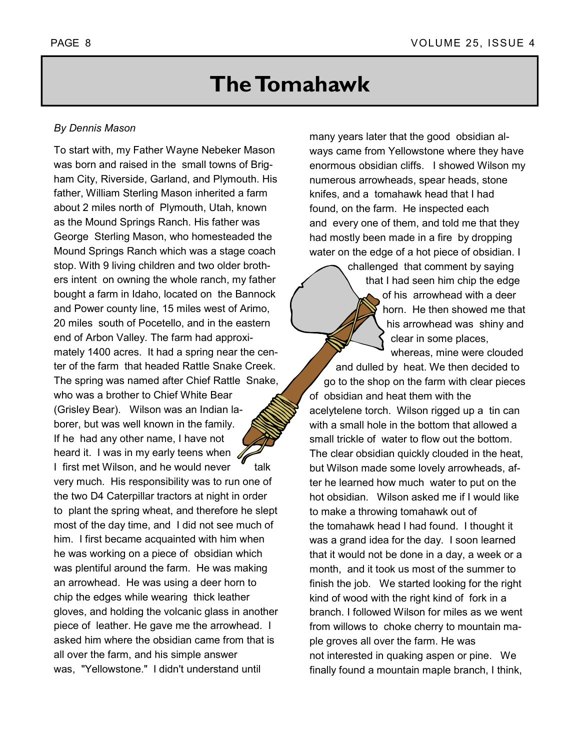## **The Tomahawk**

### *By Dennis Mason*

To start with, my Father Wayne Nebeker Mason was born and raised in the small towns of Brigham City, Riverside, Garland, and Plymouth. His father, William Sterling Mason inherited a farm about 2 miles north of Plymouth, Utah, known as the Mound Springs Ranch. His father was George Sterling Mason, who homesteaded the Mound Springs Ranch which was a stage coach stop. With 9 living children and two older brothers intent on owning the whole ranch, my father bought a farm in Idaho, located on the Bannock and Power county line, 15 miles west of Arimo, 20 miles south of Pocetello, and in the eastern end of Arbon Valley. The farm had approximately 1400 acres. It had a spring near the center of the farm that headed Rattle Snake Creek. The spring was named after Chief Rattle Snake, who was a brother to Chief White Bear (Grisley Bear). Wilson was an Indian laborer, but was well known in the family. If he had any other name, I have not heard it. I was in my early teens when I first met Wilson, and he would never talk very much. His responsibility was to run one of the two D4 Caterpillar tractors at night in order to plant the spring wheat, and therefore he slept most of the day time, and I did not see much of him. I first became acquainted with him when he was working on a piece of obsidian which was plentiful around the farm. He was making an arrowhead. He was using a deer horn to chip the edges while wearing thick leather gloves, and holding the volcanic glass in another piece of leather. He gave me the arrowhead. I asked him where the obsidian came from that is all over the farm, and his simple answer was, "Yellowstone." I didn't understand until

many years later that the good obsidian always came from Yellowstone where they have enormous obsidian cliffs. I showed Wilson my numerous arrowheads, spear heads, stone knifes, and a tomahawk head that I had found, on the farm. He inspected each and every one of them, and told me that they had mostly been made in a fire by dropping water on the edge of a hot piece of obsidian. I

> challenged that comment by saying that I had seen him chip the edge of his arrowhead with a deer horn. He then showed me that his arrowhead was shiny and clear in some places,

whereas, mine were clouded and dulled by heat. We then decided to go to the shop on the farm with clear pieces of obsidian and heat them with the acelytelene torch. Wilson rigged up a tin can with a small hole in the bottom that allowed a small trickle of water to flow out the bottom. The clear obsidian quickly clouded in the heat, but Wilson made some lovely arrowheads, after he learned how much water to put on the hot obsidian. Wilson asked me if I would like to make a throwing tomahawk out of the tomahawk head I had found. I thought it was a grand idea for the day. I soon learned that it would not be done in a day, a week or a month, and it took us most of the summer to finish the job. We started looking for the right kind of wood with the right kind of fork in a branch. I followed Wilson for miles as we went from willows to choke cherry to mountain maple groves all over the farm. He was not interested in quaking aspen or pine. We finally found a mountain maple branch, I think,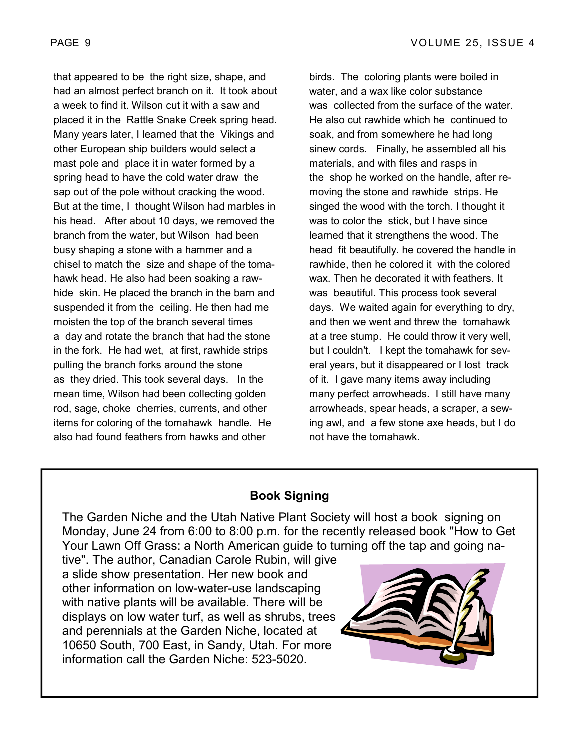that appeared to be the right size, shape, and had an almost perfect branch on it. It took about a week to find it. Wilson cut it with a saw and placed it in the Rattle Snake Creek spring head. Many years later, I learned that the Vikings and other European ship builders would select a mast pole and place it in water formed by a spring head to have the cold water draw the sap out of the pole without cracking the wood. But at the time, I thought Wilson had marbles in his head. After about 10 days, we removed the branch from the water, but Wilson had been busy shaping a stone with a hammer and a chisel to match the size and shape of the tomahawk head. He also had been soaking a rawhide skin. He placed the branch in the barn and suspended it from the ceiling. He then had me moisten the top of the branch several times a day and rotate the branch that had the stone in the fork. He had wet, at first, rawhide strips pulling the branch forks around the stone as they dried. This took several days. In the mean time, Wilson had been collecting golden rod, sage, choke cherries, currents, and other items for coloring of the tomahawk handle. He also had found feathers from hawks and other

birds. The coloring plants were boiled in water, and a wax like color substance was collected from the surface of the water. He also cut rawhide which he continued to soak, and from somewhere he had long sinew cords. Finally, he assembled all his materials, and with files and rasps in the shop he worked on the handle, after removing the stone and rawhide strips. He singed the wood with the torch. I thought it was to color the stick, but I have since learned that it strengthens the wood. The head fit beautifully. he covered the handle in rawhide, then he colored it with the colored wax. Then he decorated it with feathers. It was beautiful. This process took several days. We waited again for everything to dry, and then we went and threw the tomahawk at a tree stump. He could throw it very well, but I couldn't. I kept the tomahawk for several years, but it disappeared or I lost track of it. I gave many items away including many perfect arrowheads. I still have many arrowheads, spear heads, a scraper, a sewing awl, and a few stone axe heads, but I do not have the tomahawk.

### **Book Signing**

The Garden Niche and the Utah Native Plant Society will host a book signing on Monday, June 24 from 6:00 to 8:00 p.m. for the recently released book "How to Get Your Lawn Off Grass: a North American guide to turning off the tap and going na-

tive". The author, Canadian Carole Rubin, will give a slide show presentation. Her new book and other information on low-water-use landscaping with native plants will be available. There will be displays on low water turf, as well as shrubs, trees and perennials at the Garden Niche, located at 10650 South, 700 East, in Sandy, Utah. For more information call the Garden Niche: 523-5020.

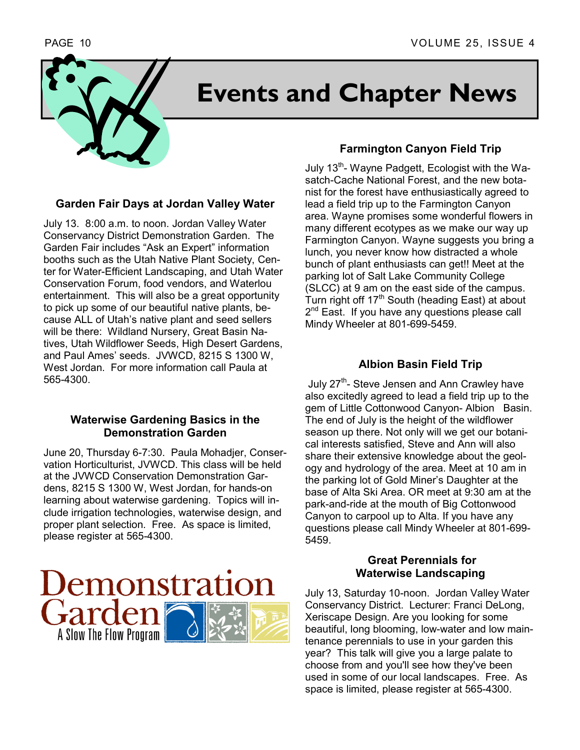

# **Events and Chapter News**

### **Garden Fair Days at Jordan Valley Water**

July 13. 8:00 a.m. to noon. Jordan Valley Water Conservancy District Demonstration Garden. The Garden Fair includes "Ask an Expert" information booths such as the Utah Native Plant Society, Center for Water-Efficient Landscaping, and Utah Water Conservation Forum, food vendors, and Waterlou entertainment. This will also be a great opportunity to pick up some of our beautiful native plants, because ALL of Utah's native plant and seed sellers will be there: Wildland Nursery, Great Basin Natives, Utah Wildflower Seeds, High Desert Gardens, and Paul Ames' seeds. JVWCD, 8215 S 1300 W, West Jordan. For more information call Paula at 565-4300.

### **Waterwise Gardening Basics in the Demonstration Garden**

June 20, Thursday 6-7:30. Paula Mohadjer, Conservation Horticulturist, JVWCD. This class will be held at the JVWCD Conservation Demonstration Gardens, 8215 S 1300 W, West Jordan, for hands-on learning about waterwise gardening. Topics will include irrigation technologies, waterwise design, and proper plant selection. Free. As space is limited, please register at 565-4300.



### **Farmington Canyon Field Trip**

July 13<sup>th</sup>- Wayne Padgett, Ecologist with the Wasatch-Cache National Forest, and the new botanist for the forest have enthusiastically agreed to lead a field trip up to the Farmington Canyon area. Wayne promises some wonderful flowers in many different ecotypes as we make our way up Farmington Canyon. Wayne suggests you bring a lunch, you never know how distracted a whole bunch of plant enthusiasts can get!! Meet at the parking lot of Salt Lake Community College (SLCC) at 9 am on the east side of the campus. Turn right off  $17<sup>th</sup>$  South (heading East) at about 2<sup>nd</sup> East. If you have any questions please call Mindy Wheeler at 801-699-5459.

### **Albion Basin Field Trip**

July 27<sup>th</sup>- Steve Jensen and Ann Crawley have also excitedly agreed to lead a field trip up to the gem of Little Cottonwood Canyon- Albion Basin. The end of July is the height of the wildflower season up there. Not only will we get our botanical interests satisfied, Steve and Ann will also share their extensive knowledge about the geology and hydrology of the area. Meet at 10 am in the parking lot of Gold Miner's Daughter at the base of Alta Ski Area. OR meet at 9:30 am at the park-and-ride at the mouth of Big Cottonwood Canyon to carpool up to Alta. If you have any questions please call Mindy Wheeler at 801-699- 5459.

### **Great Perennials for Waterwise Landscaping**

July 13, Saturday 10-noon. Jordan Valley Water Conservancy District. Lecturer: Franci DeLong, Xeriscape Design. Are you looking for some beautiful, long blooming, low-water and low maintenance perennials to use in your garden this year? This talk will give you a large palate to choose from and you'll see how they've been used in some of our local landscapes. Free. As space is limited, please register at 565-4300.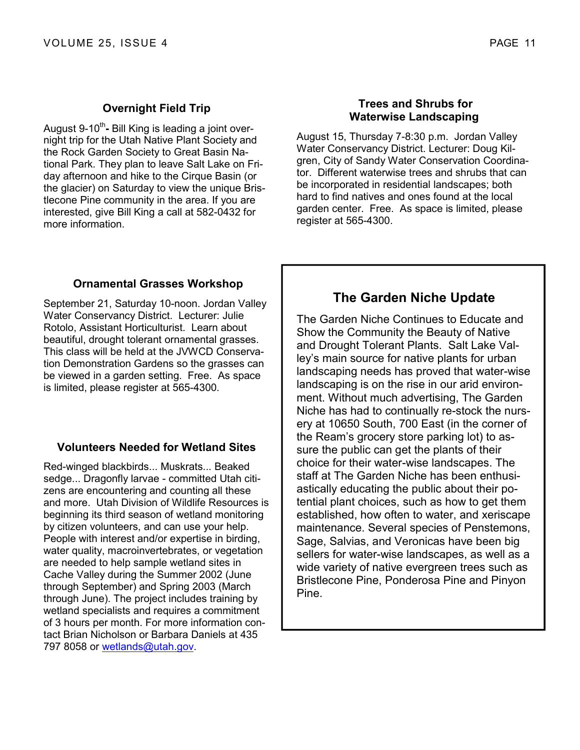### **Overnight Field Trip**

August 9-10<sup>th</sup>- Bill King is leading a joint overnight trip for the Utah Native Plant Society and the Rock Garden Society to Great Basin National Park. They plan to leave Salt Lake on Friday afternoon and hike to the Cirque Basin (or the glacier) on Saturday to view the unique Bristlecone Pine community in the area. If you are interested, give Bill King a call at 582-0432 for more information.

### **Trees and Shrubs for Waterwise Landscaping**

August 15, Thursday 7-8:30 p.m. Jordan Valley Water Conservancy District. Lecturer: Doug Kilgren, City of Sandy Water Conservation Coordinator. Different waterwise trees and shrubs that can be incorporated in residential landscapes; both hard to find natives and ones found at the local garden center. Free. As space is limited, please register at 565-4300.

### **Ornamental Grasses Workshop**

September 21, Saturday 10-noon. Jordan Valley Water Conservancy District. Lecturer: Julie Rotolo, Assistant Horticulturist. Learn about beautiful, drought tolerant ornamental grasses. This class will be held at the JVWCD Conservation Demonstration Gardens so the grasses can be viewed in a garden setting. Free. As space is limited, please register at 565-4300.

### **Volunteers Needed for Wetland Sites**

Red-winged blackbirds... Muskrats... Beaked sedge... Dragonfly larvae - committed Utah citizens are encountering and counting all these and more. Utah Division of Wildlife Resources is beginning its third season of wetland monitoring by citizen volunteers, and can use your help. People with interest and/or expertise in birding, water quality, macroinvertebrates, or vegetation are needed to help sample wetland sites in Cache Valley during the Summer 2002 (June through September) and Spring 2003 (March through June). The project includes training by wetland specialists and requires a commitment of 3 hours per month. For more information contact Brian Nicholson or Barbara Daniels at 435 797 8058 or wetlands@utah.gov.

### **The Garden Niche Update**

The Garden Niche Continues to Educate and Show the Community the Beauty of Native and Drought Tolerant Plants. Salt Lake Valley's main source for native plants for urban landscaping needs has proved that water-wise landscaping is on the rise in our arid environment. Without much advertising, The Garden Niche has had to continually re-stock the nursery at 10650 South, 700 East (in the corner of the Reamís grocery store parking lot) to assure the public can get the plants of their choice for their water-wise landscapes. The staff at The Garden Niche has been enthusiastically educating the public about their potential plant choices, such as how to get them established, how often to water, and xeriscape maintenance. Several species of Penstemons, Sage, Salvias, and Veronicas have been big sellers for water-wise landscapes, as well as a wide variety of native evergreen trees such as Bristlecone Pine, Ponderosa Pine and Pinyon Pine.